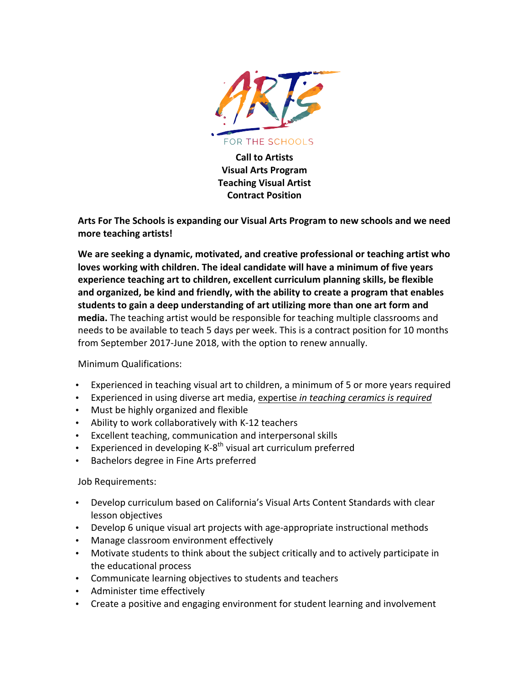

**Call to Artists Visual Arts Program Teaching Visual Artist Contract Position**

Arts For The Schools is expanding our Visual Arts Program to new schools and we need **more teaching artists!**

We are seeking a dynamic, motivated, and creative professional or teaching artist who loves working with children. The ideal candidate will have a minimum of five years experience teaching art to children, excellent curriculum planning skills, be flexible and organized, be kind and friendly, with the ability to create a program that enables **students to gain a deep understanding of art utilizing more than one art form and** media. The teaching artist would be responsible for teaching multiple classrooms and needs to be available to teach 5 days per week. This is a contract position for 10 months from September 2017-June 2018, with the option to renew annually.

### Minimum Qualifications:

- Experienced in teaching visual art to children, a minimum of 5 or more years required
- Experienced in using diverse art media, expertise *in teaching ceramics is required*
- Must be highly organized and flexible
- Ability to work collaboratively with K-12 teachers
- Excellent teaching, communication and interpersonal skills
- Experienced in developing  $K-8^{th}$  visual art curriculum preferred
- Bachelors degree in Fine Arts preferred

### Job Requirements:

- Develop curriculum based on California's Visual Arts Content Standards with clear lesson objectives
- Develop 6 unique visual art projects with age-appropriate instructional methods
- Manage classroom environment effectively
- Motivate students to think about the subject critically and to actively participate in the educational process
- Communicate learning objectives to students and teachers
- Administer time effectively
- Create a positive and engaging environment for student learning and involvement